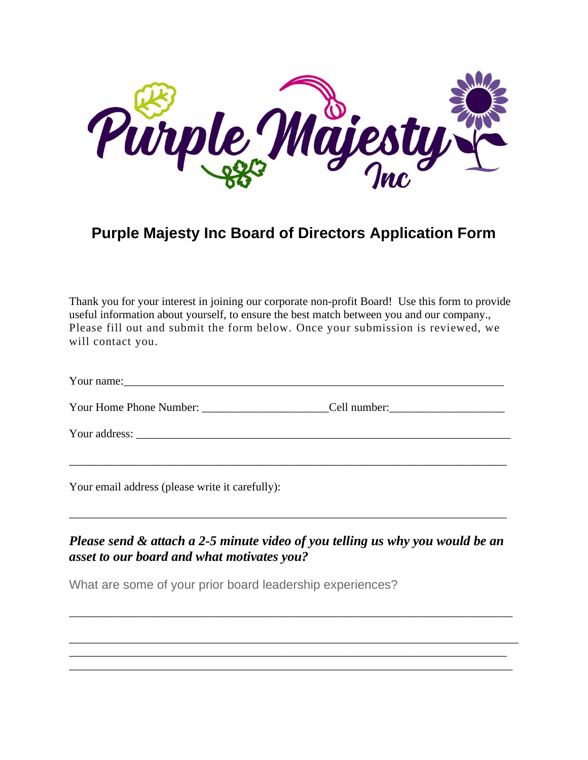

## **Purple Majesty Inc Board of Directors Application Form**

Thank you for your interest in joining our corporate non-profit Board! Use this form to provide useful information about yourself, to ensure the best match between you and our company., Please fill out and submit the form below. Once your submission is reviewed, we will contact you.

| $\mathbf{r}$<br>Your name: |
|----------------------------|
|----------------------------|

| Your Home Phone Number:<br>Cell number: |  |
|-----------------------------------------|--|
|-----------------------------------------|--|

\_\_\_\_\_\_\_\_\_\_\_\_\_\_\_\_\_\_\_\_\_\_\_\_\_\_\_\_\_\_\_\_\_\_\_\_\_\_\_\_\_\_\_\_\_\_\_\_\_\_\_\_\_\_\_\_\_\_\_\_\_\_\_\_\_\_\_\_\_\_\_\_\_\_\_\_

Your address: \_\_\_\_\_\_\_\_\_\_\_\_\_\_\_\_\_\_\_\_\_\_\_\_\_\_\_\_\_\_\_\_\_\_\_\_\_\_\_\_\_\_\_\_\_\_\_\_\_\_\_\_\_\_\_\_\_\_\_\_\_\_\_\_\_

Your email address (please write it carefully):

## *Please send & attach a 2-5 minute video of you telling us why you would be an asset to our board and what motivates you?*

\_\_\_\_\_\_\_\_\_\_\_\_\_\_\_\_\_\_\_\_\_\_\_\_\_\_\_\_\_\_\_\_\_\_\_\_\_\_\_\_\_\_\_\_\_\_\_\_\_\_\_\_\_\_\_\_\_\_\_\_\_\_\_\_\_\_\_\_\_\_\_\_\_\_\_\_\_

\_\_\_\_\_\_\_\_\_\_\_\_\_\_\_\_\_\_\_\_\_\_\_\_\_\_\_\_\_\_\_\_\_\_\_\_\_\_\_\_\_\_\_\_\_\_\_\_\_\_\_\_\_\_\_\_\_\_\_\_\_\_\_\_\_\_\_\_\_\_\_\_\_\_\_\_\_\_ \_\_\_\_\_\_\_\_\_\_\_\_\_\_\_\_\_\_\_\_\_\_\_\_\_\_\_\_\_\_\_\_\_\_\_\_\_\_\_\_\_\_\_\_\_\_\_\_\_\_\_\_\_\_\_\_\_\_\_\_\_\_\_\_\_\_\_\_\_\_\_\_\_\_\_\_ \_\_\_\_\_\_\_\_\_\_\_\_\_\_\_\_\_\_\_\_\_\_\_\_\_\_\_\_\_\_\_\_\_\_\_\_\_\_\_\_\_\_\_\_\_\_\_\_\_\_\_\_\_\_\_\_\_\_\_\_\_\_\_\_\_\_\_\_\_\_\_\_\_\_\_\_\_

\_\_\_\_\_\_\_\_\_\_\_\_\_\_\_\_\_\_\_\_\_\_\_\_\_\_\_\_\_\_\_\_\_\_\_\_\_\_\_\_\_\_\_\_\_\_\_\_\_\_\_\_\_\_\_\_\_\_\_\_\_\_\_\_\_\_\_\_\_\_\_\_\_\_\_\_

What are some of your prior board leadership experiences?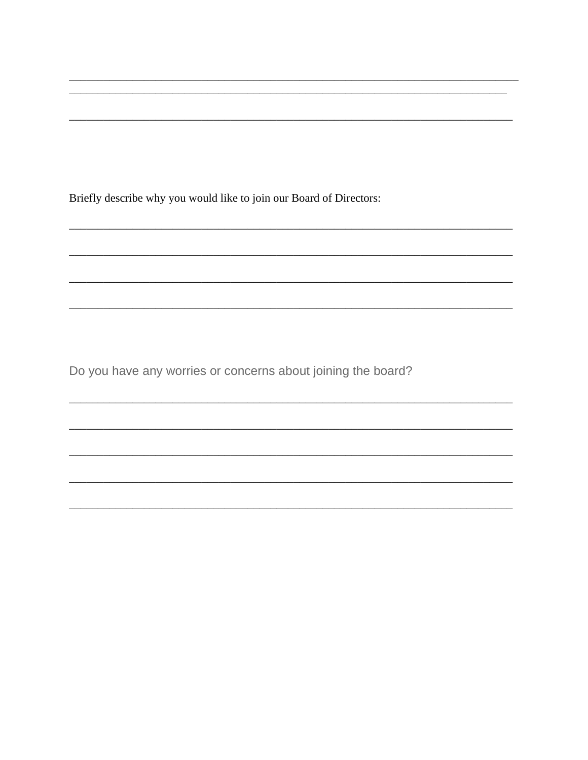Briefly describe why you would like to join our Board of Directors:

Do you have any worries or concerns about joining the board?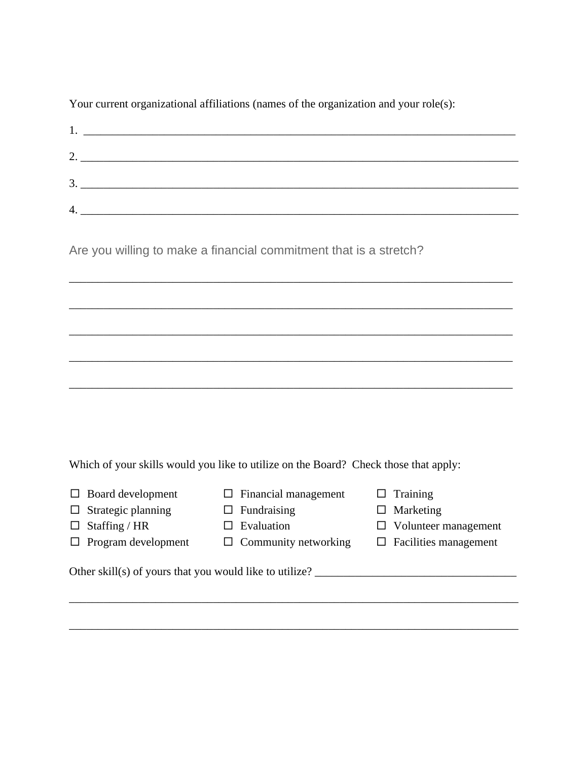Your current organizational affiliations (names of the organization and your role(s):

|                         | the contract of the contract of the contract of the contract of the contract of                                                                                                                                                      |
|-------------------------|--------------------------------------------------------------------------------------------------------------------------------------------------------------------------------------------------------------------------------------|
| ി                       | <u>a sa mga barangan ng mga barangan ng mga barangan ng mga barangang ng mga barangang ng mga barangang ng mga barangang ng mga barangang ng mga barangang ng mga barangay ng mga barangay ng mga barangay ng mga barangay ng mg</u> |
| $\mathbf 3$<br><u>.</u> |                                                                                                                                                                                                                                      |
| 4                       |                                                                                                                                                                                                                                      |

\_\_\_\_\_\_\_\_\_\_\_\_\_\_\_\_\_\_\_\_\_\_\_\_\_\_\_\_\_\_\_\_\_\_\_\_\_\_\_\_\_\_\_\_\_\_\_\_\_\_\_\_\_\_\_\_\_\_\_\_\_\_\_\_\_\_\_\_\_\_\_\_\_\_\_\_\_

\_\_\_\_\_\_\_\_\_\_\_\_\_\_\_\_\_\_\_\_\_\_\_\_\_\_\_\_\_\_\_\_\_\_\_\_\_\_\_\_\_\_\_\_\_\_\_\_\_\_\_\_\_\_\_\_\_\_\_\_\_\_\_\_\_\_\_\_\_\_\_\_\_\_\_\_\_

\_\_\_\_\_\_\_\_\_\_\_\_\_\_\_\_\_\_\_\_\_\_\_\_\_\_\_\_\_\_\_\_\_\_\_\_\_\_\_\_\_\_\_\_\_\_\_\_\_\_\_\_\_\_\_\_\_\_\_\_\_\_\_\_\_\_\_\_\_\_\_\_\_\_\_\_\_

\_\_\_\_\_\_\_\_\_\_\_\_\_\_\_\_\_\_\_\_\_\_\_\_\_\_\_\_\_\_\_\_\_\_\_\_\_\_\_\_\_\_\_\_\_\_\_\_\_\_\_\_\_\_\_\_\_\_\_\_\_\_\_\_\_\_\_\_\_\_\_\_\_\_\_\_\_

\_\_\_\_\_\_\_\_\_\_\_\_\_\_\_\_\_\_\_\_\_\_\_\_\_\_\_\_\_\_\_\_\_\_\_\_\_\_\_\_\_\_\_\_\_\_\_\_\_\_\_\_\_\_\_\_\_\_\_\_\_\_\_\_\_\_\_\_\_\_\_\_\_\_\_\_\_

Are you willing to make a financial commitment that is a stretch?

Which of your skills would you like to utilize on the Board? Check those that apply:

- $\Box$  Board development
- $\Box$  Financial management
- $\Box$  Strategic planning
- $\Box$  Fundraising
- $\Box$  Staffing / HR  $\Box$  Program development
- $\square$  Evaluation
- $\Box$  Community networking

\_\_\_\_\_\_\_\_\_\_\_\_\_\_\_\_\_\_\_\_\_\_\_\_\_\_\_\_\_\_\_\_\_\_\_\_\_\_\_\_\_\_\_\_\_\_\_\_\_\_\_\_\_\_\_\_\_\_\_\_\_\_\_\_\_\_\_\_\_\_\_\_\_\_\_\_\_\_

\_\_\_\_\_\_\_\_\_\_\_\_\_\_\_\_\_\_\_\_\_\_\_\_\_\_\_\_\_\_\_\_\_\_\_\_\_\_\_\_\_\_\_\_\_\_\_\_\_\_\_\_\_\_\_\_\_\_\_\_\_\_\_\_\_\_\_\_\_\_\_\_\_\_\_\_\_\_

- $\Box$  Training
- $\square$  Marketing
- Volunteer management
- $\square$  Facilities management

Other skill(s) of yours that you would like to utilize?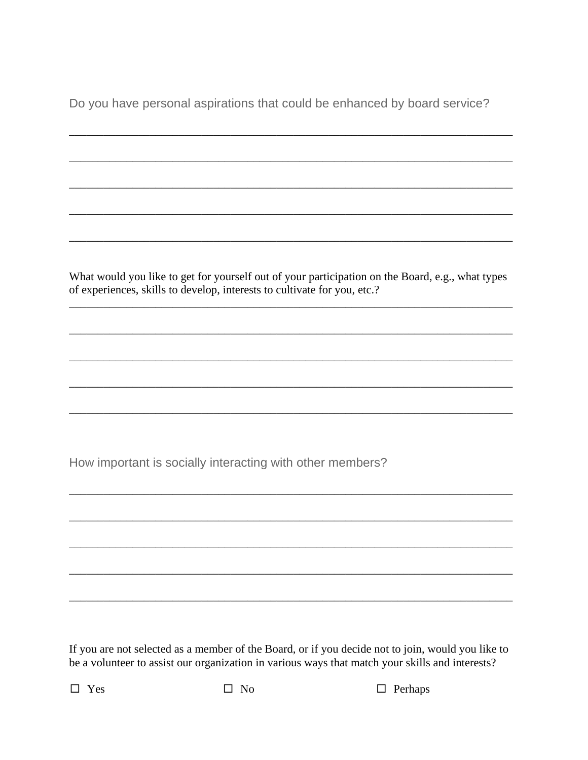Do you have personal aspirations that could be enhanced by board service?

What would you like to get for yourself out of your participation on the Board, e.g., what types of experiences, skills to develop, interests to cultivate for you, etc.?

How important is socially interacting with other members?

If you are not selected as a member of the Board, or if you decide not to join, would you like to be a volunteer to assist our organization in various ways that match your skills and interests?

 $\Box$  Yes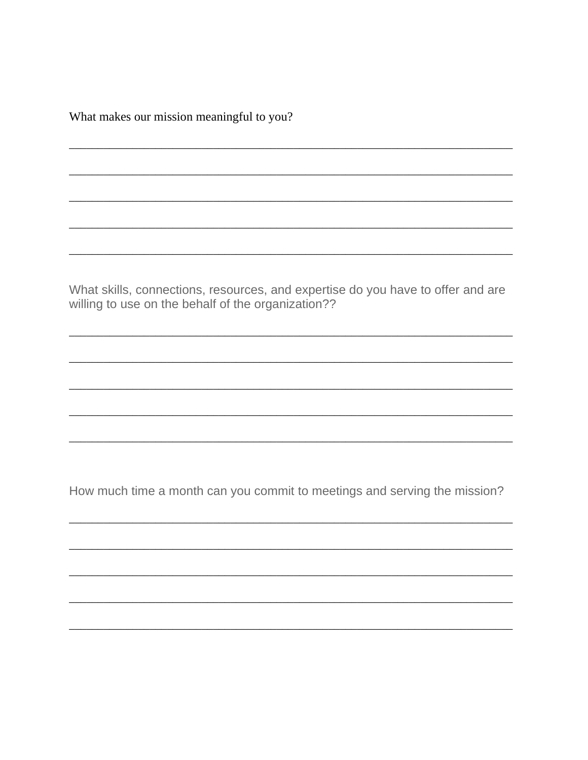What makes our mission meaningful to you?

What skills, connections, resources, and expertise do you have to offer and are willing to use on the behalf of the organization??

How much time a month can you commit to meetings and serving the mission?